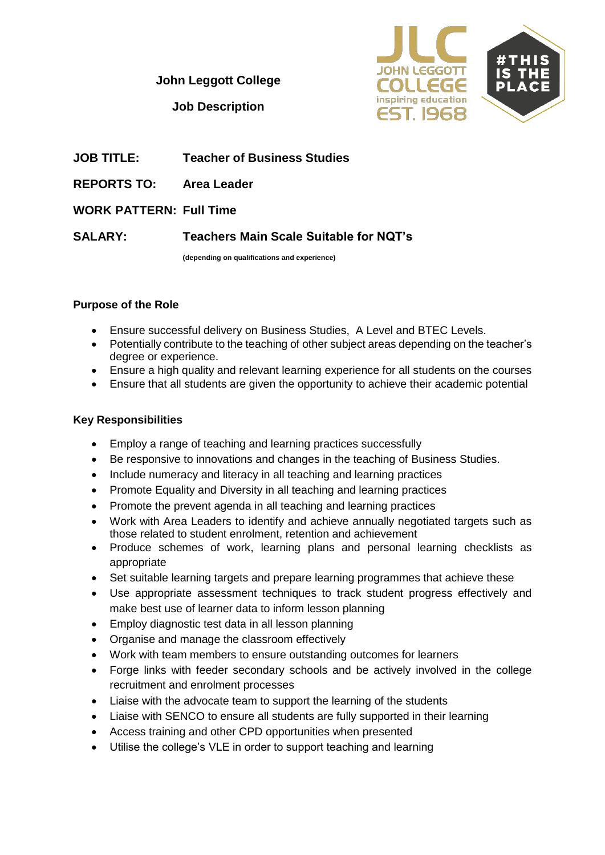**John Leggott College**



**Job Description**

- **JOB TITLE: Teacher of Business Studies**
- **REPORTS TO: Area Leader**
- **WORK PATTERN: Full Time**

**SALARY: Teachers Main Scale Suitable for NQT's**

**(depending on qualifications and experience)**

#### **Purpose of the Role**

- Ensure successful delivery on Business Studies, A Level and BTEC Levels.
- Potentially contribute to the teaching of other subject areas depending on the teacher's degree or experience.
- Ensure a high quality and relevant learning experience for all students on the courses
- Ensure that all students are given the opportunity to achieve their academic potential

#### **Key Responsibilities**

- Employ a range of teaching and learning practices successfully
- Be responsive to innovations and changes in the teaching of Business Studies.
- Include numeracy and literacy in all teaching and learning practices
- Promote Equality and Diversity in all teaching and learning practices
- Promote the prevent agenda in all teaching and learning practices
- Work with Area Leaders to identify and achieve annually negotiated targets such as those related to student enrolment, retention and achievement
- Produce schemes of work, learning plans and personal learning checklists as appropriate
- Set suitable learning targets and prepare learning programmes that achieve these
- Use appropriate assessment techniques to track student progress effectively and make best use of learner data to inform lesson planning
- Employ diagnostic test data in all lesson planning
- Organise and manage the classroom effectively
- Work with team members to ensure outstanding outcomes for learners
- Forge links with feeder secondary schools and be actively involved in the college recruitment and enrolment processes
- Liaise with the advocate team to support the learning of the students
- Liaise with SENCO to ensure all students are fully supported in their learning
- Access training and other CPD opportunities when presented
- Utilise the college's VLE in order to support teaching and learning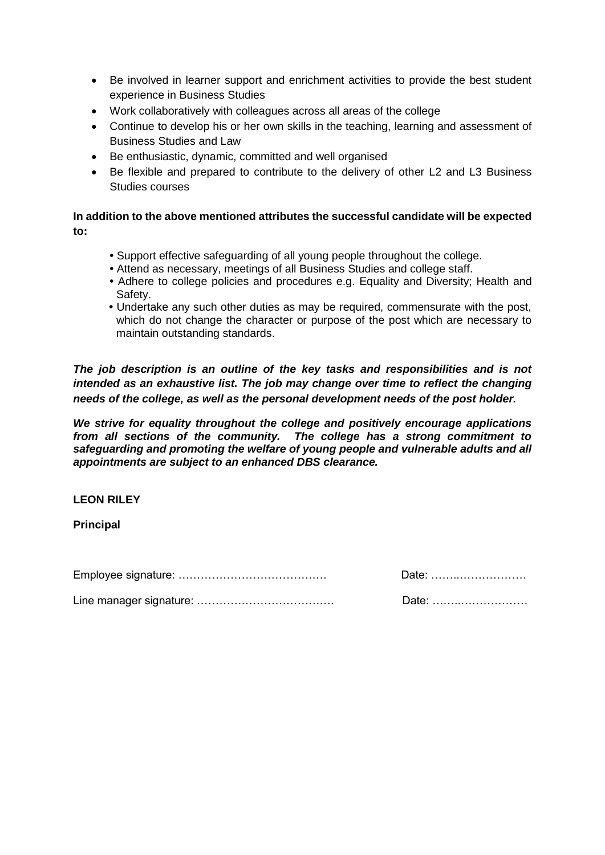- Be involved in learner support and enrichment activities to provide the best student experience in Business Studies
- Work collaboratively with colleagues across all areas of the college
- Continue to develop his or her own skills in the teaching, learning and assessment of Business Studies and Law
- Be enthusiastic, dynamic, committed and well organised
- Be flexible and prepared to contribute to the delivery of other L2 and L3 Business Studies courses

### **In addition to the above mentioned attributes the successful candidate will be expected to:**

- **•** Support effective safeguarding of all young people throughout the college.
- **•** Attend as necessary, meetings of all Business Studies and college staff.
- **•** Adhere to college policies and procedures e.g. Equality and Diversity; Health and Safety.
- **•** Undertake any such other duties as may be required, commensurate with the post, which do not change the character or purpose of the post which are necessary to maintain outstanding standards.

*The job description is an outline of the key tasks and responsibilities and is not intended as an exhaustive list. The job may change over time to reflect the changing needs of the college, as well as the personal development needs of the post holder.* 

*We strive for equality throughout the college and positively encourage applications from all sections of the community. The college has a strong commitment to safeguarding and promoting the welfare of young people and vulnerable adults and all appointments are subject to an enhanced DBS clearance.*

## **LEON RILEY**

**Principal**

Employee signature: …………………………………. Date: ……..………………

| Date: |  |  |  |  |  |  |  |  |
|-------|--|--|--|--|--|--|--|--|
|       |  |  |  |  |  |  |  |  |

Line manager signature: ………………………………. Date: ……..………………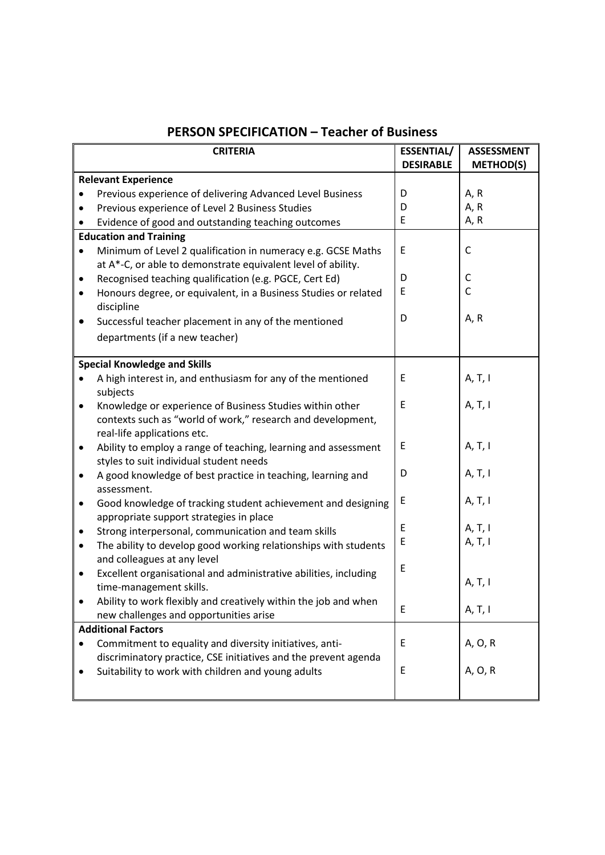| <b>ESSENTIAL/</b><br><b>ASSESSMENT</b><br><b>CRITERIA</b>                     |                  |                  |  |  |  |  |
|-------------------------------------------------------------------------------|------------------|------------------|--|--|--|--|
|                                                                               | <b>DESIRABLE</b> | <b>METHOD(S)</b> |  |  |  |  |
| <b>Relevant Experience</b>                                                    |                  |                  |  |  |  |  |
| Previous experience of delivering Advanced Level Business<br>$\bullet$        | D                | A, R             |  |  |  |  |
| Previous experience of Level 2 Business Studies<br>$\bullet$                  | D                | A, R             |  |  |  |  |
| Evidence of good and outstanding teaching outcomes                            | E                | A, R             |  |  |  |  |
| <b>Education and Training</b>                                                 |                  |                  |  |  |  |  |
| Minimum of Level 2 qualification in numeracy e.g. GCSE Maths<br>$\bullet$     | E                | C                |  |  |  |  |
| at A*-C, or able to demonstrate equivalent level of ability.                  |                  |                  |  |  |  |  |
| Recognised teaching qualification (e.g. PGCE, Cert Ed)<br>$\bullet$           | D                | C                |  |  |  |  |
| Honours degree, or equivalent, in a Business Studies or related<br>$\bullet$  | E                | C                |  |  |  |  |
| discipline                                                                    |                  |                  |  |  |  |  |
| Successful teacher placement in any of the mentioned<br>٠                     | D                | A, R             |  |  |  |  |
| departments (if a new teacher)                                                |                  |                  |  |  |  |  |
|                                                                               |                  |                  |  |  |  |  |
| <b>Special Knowledge and Skills</b>                                           |                  |                  |  |  |  |  |
| A high interest in, and enthusiasm for any of the mentioned                   | E                | A, T, I          |  |  |  |  |
| subjects                                                                      |                  |                  |  |  |  |  |
| Knowledge or experience of Business Studies within other<br>٠                 | E                | A, T, I          |  |  |  |  |
| contexts such as "world of work," research and development,                   |                  |                  |  |  |  |  |
| real-life applications etc.                                                   |                  |                  |  |  |  |  |
| Ability to employ a range of teaching, learning and assessment<br>$\bullet$   | E                | A, T, I          |  |  |  |  |
| styles to suit individual student needs                                       |                  |                  |  |  |  |  |
| A good knowledge of best practice in teaching, learning and<br>$\bullet$      | D                | A, T, I          |  |  |  |  |
| assessment.                                                                   |                  |                  |  |  |  |  |
| Good knowledge of tracking student achievement and designing<br>$\bullet$     | E                | A, T, I          |  |  |  |  |
| appropriate support strategies in place                                       |                  |                  |  |  |  |  |
| Strong interpersonal, communication and team skills<br>$\bullet$              | E                | A, T, I          |  |  |  |  |
| The ability to develop good working relationships with students<br>$\bullet$  | E                | A, T, I          |  |  |  |  |
| and colleagues at any level                                                   | E                |                  |  |  |  |  |
| Excellent organisational and administrative abilities, including<br>$\bullet$ |                  |                  |  |  |  |  |
| time-management skills.                                                       |                  | A, T, I          |  |  |  |  |
| Ability to work flexibly and creatively within the job and when               | E                |                  |  |  |  |  |
| new challenges and opportunities arise                                        |                  | A, T, I          |  |  |  |  |
| <b>Additional Factors</b>                                                     |                  |                  |  |  |  |  |
| Commitment to equality and diversity initiatives, anti-                       | E                | A, O, R          |  |  |  |  |
| discriminatory practice, CSE initiatives and the prevent agenda               |                  |                  |  |  |  |  |
| Suitability to work with children and young adults                            | E                | A, O, R          |  |  |  |  |
|                                                                               |                  |                  |  |  |  |  |

# **PERSON SPECIFICATION – Teacher of Business**